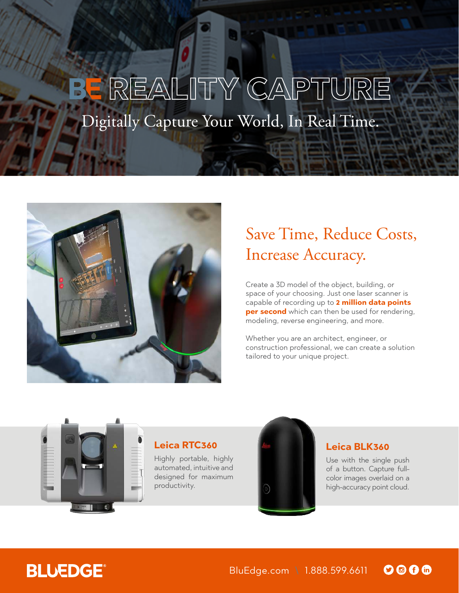# **REALITY CAPTURE** Digitally Capture Your World, In Real Time.



# Save Time, Reduce Costs, Increase Accuracy.

Create a 3D model of the object, building, or space of your choosing. Just one laser scanner is capable of recording up to **2 million data points per second** which can then be used for rendering, modeling, reverse engineering, and more.

Whether you are an architect, engineer, or construction professional, we can create a solution tailored to your unique project.



### **Leica RTC360**

Highly portable, highly automated, intuitive and designed for maximum productivity.



#### **Leica BLK360**

Use with the single push of a button. Capture fullcolor images overlaid on a high-accuracy point cloud.

## **BLUEDGE®**